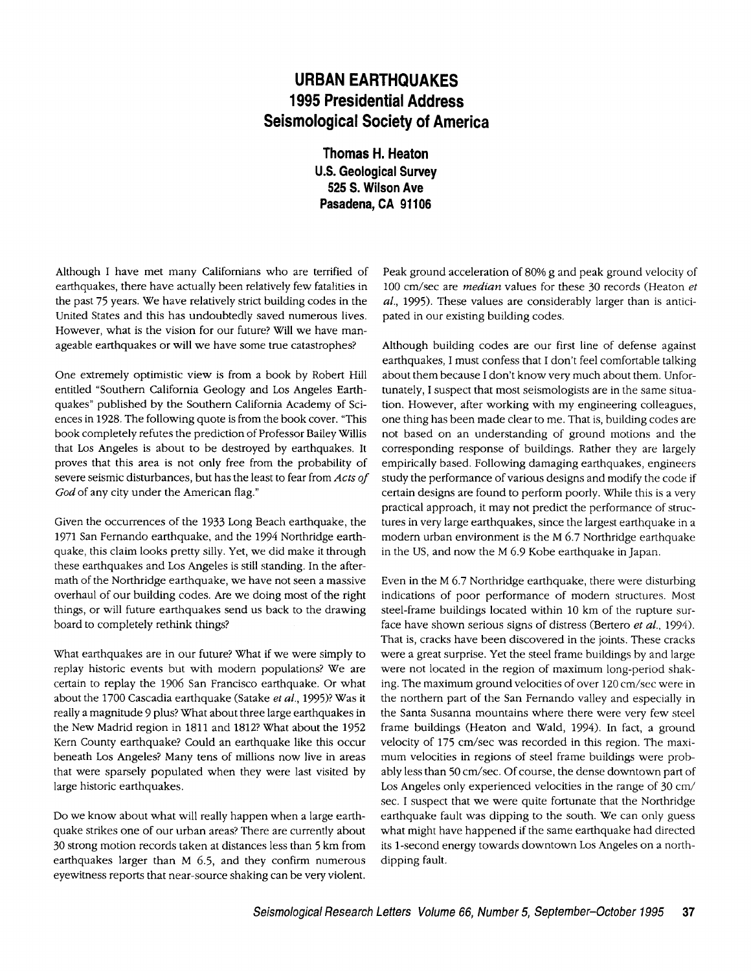## **URBAN EARTHQUAKES 1995 Presidential Address Seismological Society of America**

**Thomas H. Heaton U.S. Geological Survey 525 S. Wilson Ave Pasadena, CA 91106** 

Although I have met many Californians who are terrified of earthquakes, there have actually been relatively few fatalities in the past 75 years. We have relatively strict building codes in the United States and this has undoubtedly saved numerous lives. However, what is the vision for our future? Will we have manageable earthquakes or will we have some true catastrophes?

One extremely optimistic view is from a book by Robert Hill entitled "Southern California Geology and Los Angeles Earthquakes" published by the Southern California Academy of Sciences in 1928. The following quote is from the book cover. "This book completely refutes the prediction of Professor Bailey Willis that Los Angeles is about to be destroyed by earthquakes. It proves that this area is not only free from the probability of severe seismic disturbances, but has the least to fear from *Acts of God* of any city under the American flag."

Given the occurrences of the 1933 Long Beach earthquake, the 1971 San Fernando earthquake, and the 1994 Northridge earthquake, this claim looks pretty silly. Yet, we did make it through these earthquakes and Los Angeles is still standing. In the aftermath of the Northridge earthquake, we have not seen a massive overhaul of our building codes. Are we doing most of the right things, or will future earthquakes send us back to the drawing board to completely rethink things?

What earthquakes are in our future? What if we were simply to replay historic events but with modern populations? We are certain to replay the 1906 San Francisco earthquake. Or what about the 1700 Cascadia earthquake (Satake *et al.,* 1995)? Was it really a magnitude 9 plus? What about three large earthquakes in the New Madrid region in 1811 and 1812? What about the 1952 Kern County earthquake? Could an earthquake like this occur beneath Los Angeles? Many tens of millions now live in areas that were sparsely populated when they were last visited by large historic earthquakes.

Do we know about what will really happen when a large earthquake strikes one of our urban areas? There are currently about 30 strong motion records taken at distances less than 5 km from earthquakes larger than M 6.5, and they confirm numerous eyewitness reports that near-source shaking can be very violent.

Peak ground acceleration of 80% g and peak ground velocity of 100 cm/sec are *median* values for these 30 records (Heaton *et al.,* 1995). These values are considerably larger than is anticipated in our existing building codes.

Although building codes are our first line of defense against earthquakes, I must confess that I don't feel comfortable talking about them because I don't know very much about them. Unfortunately, I suspect that most seismologists are in the same situation. However, after working with my engineering colleagues, one thing has been made clear to me. That is, building codes are not based on an understanding of ground motions and the corresponding response of buildings. Rather they are largely empirically based. Following damaging earthquakes, engineers study the performance of various designs and modify the code if certain designs are found to perform poorly. While this is a very practical approach, it may not predict the performance of structures in very large earthquakes, since the largest earthquake in a modern urban environment is the M 6.7 Northridge earthquake in the US, and now the M 6.9 Kobe earthquake in Japan.

Even in the M 6.7 Northridge earthquake, there were disturbing indications of poor performance of modern structures. Most steel-frame buildings located within 10 km of the rupture surface have shown serious signs of distress (Bertero *et al.,* 1994). That is, cracks have been discovered in the joints. These cracks were a great surprise. Yet the steel frame buildings by and large were not located in the region of maximum long-period shaking. The maximum ground velocities of over 120 cm/sec were in the northern part of the San Fernando valley and especially in the Santa Susanna mountains where there were very few steel frame buildings (Heaton and Wald, 1994). In fact, a ground velocity of 175 cm/sec was recorded in this region. The maximum velocities in regions of steel frame buildings were probably less than 50 cm/sec. Of course, the dense downtown part of Los Angeles only experienced velocities in the range of 30 cm/ sec. I suspect that we were quite fortunate that the Northridge earthquake fault was dipping to the south. We can only guess what might have happened if the same earthquake had directed its 1-second energy towards downtown Los Angeles on a northdipping fault.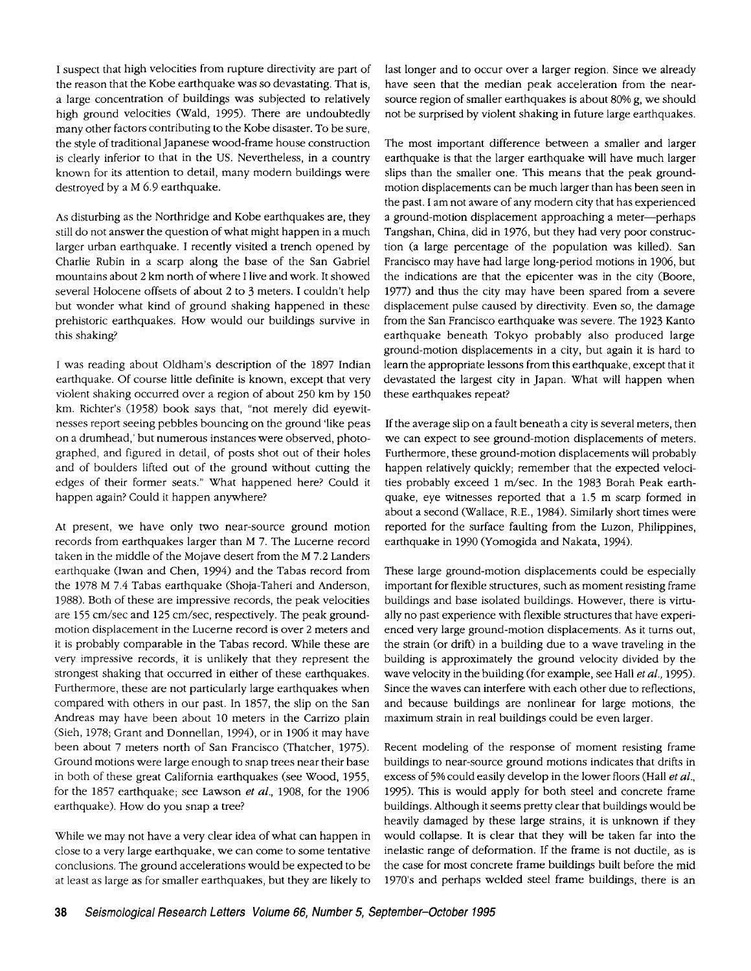I suspect that high velocities from rupture directivity are part of the reason that the Kobe earthquake was so devastating. That is, a large concentration of buildings was subjected to relatively high ground velocities (Wald, 1995). There are undoubtedly many other factors contributing to the Kobe disaster. To be sure, the style of traditional Japanese wood-frame house construction is clearly inferior to that in the US. Nevertheless, in a country known for its attention to detail, many modern buildings were destroyed by a M 6.9 earthquake.

As disturbing as the Northridge and Kobe earthquakes are, they still do not answer the question of what might happen in a much larger urban earthquake. I recently visited a trench opened by Charlie Rubin in a scarp along the base of the San Gabriel mountains about 2 km north of where I live and work. It showed several Holocene offsets of about 2 to 3 meters. I couldn't help but wonder what kind of ground shaking happened in these prehistoric earthquakes. How would our buildings survive in this shaking?

I was reading about Oldham's description of the 1897 Indian earthquake. Of course little definite is known, except that very violent shaking occurred over a region of about 250 km by 150 km. Richter's (1958) book says that, "not merely did eyewitnesses report seeing pebbles bouncing on the ground 'like peas on a drumhead,' but numerous instances were observed, photographed, and figured in detail, of posts shot out of their holes and of boulders lifted out of the ground without cutting the edges of their former seats." What happened here? Could it happen again? Could it happen anywhere?

At present, we have only two near-source ground motion records from earthquakes larger than M 7. The Lucerne record taken in the middle of the Mojave desert from the M 7.2 Landers earthquake (Iwan and Chen, 1994) and the Tabas record from the 1978 M 7.4 Tabas earthquake (Shoja-Taheri and Anderson, 1988). Both of these are impressive records, the peak velocities are 155 cm/sec and 125 cm/sec, respectively. The peak groundmotion displacement in the Lucerne record is over 2 meters and it is probably comparable in the Tabas record. While these are very impressive records, it is unlikely that they represent the strongest shaking that occurred in either of these earthquakes. Furthermore, these are not particularly large earthquakes when compared with others in our past. In 1857, the slip on the San Andreas may have been about 10 meters in the Carrizo plain (Sieh, 1978; Grant and Donnellan, 1994), or in 1906 it may have been about 7 meters north of San Francisco (Thatcher, 1975). Ground motions were large enough to snap trees near their base in both of these great California earthquakes (see Wood, 1955, for the 1857 earthquake; see Lawson *et al.,* 1908, for the 1906 earthquake). How do you snap a tree?

While we may not have a very clear idea of what can happen in close to a very large earthquake, we can come to some tentative conclusions. The ground accelerations would be expected to be at least as large as for smaller earthquakes, but they are likely to last longer and to occur over a larger region. Since we already have seen that the median peak acceleration from the nearsource region of smaller earthquakes is about 80% g, we should not be surprised by violent shaking in future large earthquakes.

The most important difference between a smaller and larger earthquake is that the larger earthquake will have much larger slips than the smaller one. This means that the peak groundmotion displacements can be much larger than has been seen in the past. I am not aware of any modern city that has experienced a ground-motion displacement approaching a meter--perhaps Tangshan, China, did in 1976, but they had very poor construction (a large percentage of the population was killed). San Francisco may have had large long-period motions in 1906, but the indications are that the epicenter was in the city (Boore, 1977) and thus the city may have been spared from a severe displacement pulse caused by directivity. Even so, the damage from the San Francisco earthquake was severe. The 1923 Kanto earthquake beneath Tokyo probably also produced large ground-motion displacements in a city, but again it is hard to learn the appropriate lessons from this earthquake, except that it devastated the largest city in Japan. What will happen when these earthquakes repeat?

If the average slip on a fault beneath a city is several meters, then we can expect to see ground-motion displacements of meters. Furthermore, these ground-motion displacements will probably happen relatively quickly; remember that the expected velocities probably exceed 1 m/sec. In the 1983 Borah Peak earthquake, eye witnesses reported that a 1.5 m scarp formed in about a second (Wallace, R.E., 1984). Similarly short times were reported for the surface faulting from the Luzon, Philippines, earthquake in 1990 (Yomogida and Nakata, 1994).

These large ground-motion displacements could be especially important for flexible structures, such as moment resisting frame buildings and base isolated buildings. However, there is virtually no past experience with flexible structures that have experienced very large ground-motion displacements. As it turns out, the strain (or drift) in a building due to a wave traveling in the building is approximately the ground velocity divided by the wave velocity in the building (for example, see Hall *et al.,* 1995). Since the waves can interfere with each other due to reflections, and because buildings are nonlinear for large motions, the maximum strain in real buildings could be even larger.

Recent modeling of the response of moment resisting frame buildings to near-source ground motions indicates that drifts in excess of 5% could easily develop in the lower floors (Hall *et al.,*  1995). This is would apply for both steel and concrete frame buildings. Although it seems pretty clear that buildings would be heavily damaged by these large strains, it is unknown if they would collapse. It is clear that they will be taken far into the inelastic range of deformation. If the frame is not ductile, as is the case for most concrete frame buildings built before the mid 1970's and perhaps welded steel frame buildings, there is an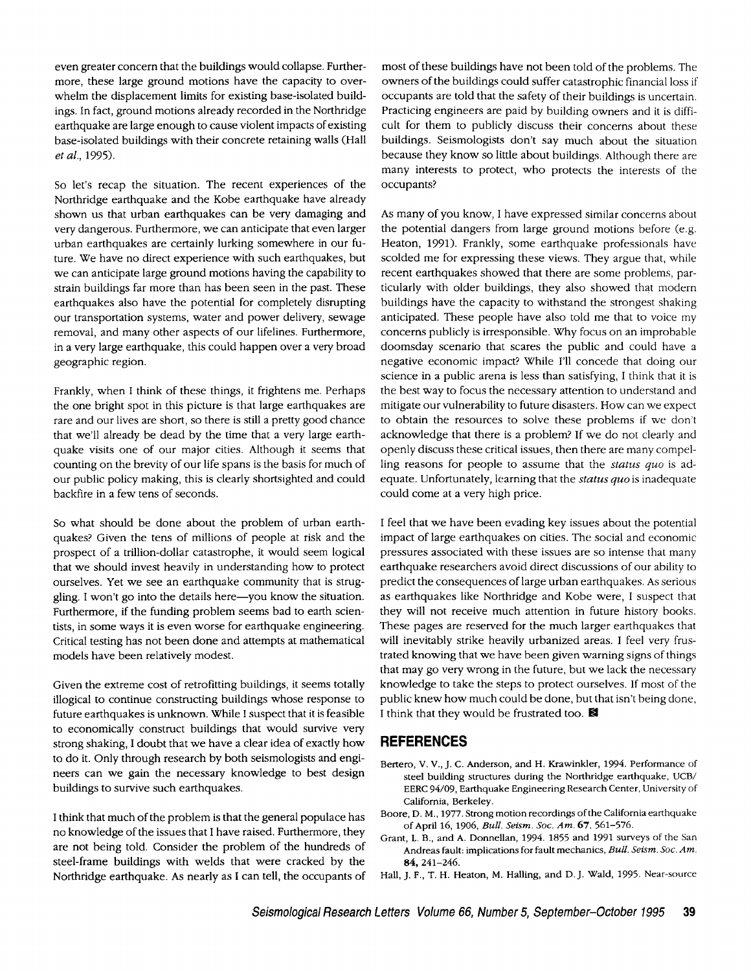even greater concern that the buildings would collapse. Furthermore, these large ground motions have the capacity to overwhelm the displacement limits for existing base-isolated buildings. In fact, ground motions already recorded in the Northridge earthquake are large enough to cause violent impacts of existing base-isolated buildings with their concrete retaining walls (Hall *et al.,* 1995).

So let's recap the situation. The recent experiences of the Northridge earthquake and the Kobe earthquake have already shown us that urban earthquakes can be very damaging and very dangerous. Furthermore, we can anticipate that even larger urban earthquakes are certainly lurking somewhere in our future. We have no direct experience with such earthquakes, but we can anticipate large ground motions having the capability to strain buildings far more than has been seen in the past. These earthquakes also have the potential for completely disrupting our transportation systems, water and power delivery, sewage removal, and many other aspects of our lifelines. Furthermore, in a very large earthquake, this could happen over a very broad geographic region.

Frankly, when I think of these things, it frightens me. Perhaps the one bright spot in this picture is that large earthquakes are rare and our lives are short, so there is still a pretty good chance that we'll already be dead by the time that a very large earthquake visits one of our major cities. Although it seems that counting on the brevity of our life spans is the basis for much of our public policy making, this is clearly shortsighted and could backfire in a few tens of seconds.

So what should be done about the problem of urban earthquakes? Given the tens of millions of people at risk and the prospect of a trillion-dollar catastrophe, it would seem logical that we should invest heavily in understanding how to protect ourselves. Yet we see an earthquake community that is struggling. I won't go into the details here-you know the situation. Furthermore, if the funding problem seems bad to earth scientists, in some ways it is even worse for earthquake engineering. Critical testing has not been done and attempts at mathematical models have been relatively modest.

Given the extreme cost of retrofitting buildings, it seems totally illogical to continue constructing buildings whose response to future earthquakes is unknown. While I suspect that it is feasible to economically construct buildings that would survive very strong shaking, I doubt that we have a clear idea of exactly how to do it. Only through research by both seismologists and engineers can we gain the necessary knowledge to best design buildings to survive such earthquakes.

I think that much of the problem is that the general populace has no knowledge of the issues that I have raised. Furthermore, they are not being told. Consider the problem of the hundreds of steel-frame buildings with welds that were cracked by the Northridge earthquake. As nearly as I can tell, the occupants of most of these buildings have not been told of the problems. The owners of the buildings could suffer catastrophic financial loss if occupants are told that the safety of their buildings is uncertain. Practicing engineers are paid by building owners and it is difficult for them to publicly discuss their concerns about these buildings. Seismologists don't say much about the situation because they know so little about buildings. Although there are many interests to protect, who protects the interests of the occupants?

As many of you know, I have expressed similar concerns about the potential dangers from large ground motions before (e.g. Heaton, 1991). Frankly, some earthquake professionals have scolded me for expressing these views. They argue that, while recent earthquakes showed that there are some problems, particularly with older buildings, they also showed that modern buildings have the capacity to withstand the strongest shaking anticipated. These people have also told me that to voice my concerns publicly is irresponsible. Why focus on an improbable doomsday scenario that scares the public and could have a negative economic impact? While I'll concede that doing our science in a public arena is less than satisfying, I think that it is the best way to focus the necessary attention to understand and mitigate our vulnerability to future disasters. How can we expect to obtain the resources to solve these problems if we don't acknowledge that there is a problem? If we do not clearly and openly discuss these critical issues, then there are many compelling reasons for people to assume that the *status quo* is adequate. Unfortunately, learning that the *status quo* is inadequate could come at a very high price.

I feel that we have been evading key issues about the potential impact of large earthquakes on cities. The social and economic pressures associated with these issues are so intense that many earthquake researchers avoid direct discussions of our ability to predict the consequences of large urban earthquakes. As serious as earthquakes like Northridge and Kobe were, I suspect that they will not receive much attention in future history books. These pages are reserved for the much larger earthquakes that will inevitably strike heavily urbanized areas. I feel very frustrated knowing that we have been given warning signs of things that may go very wrong in the future, but we lack the necessary knowledge to take the steps to protect ourselves. If most of the public knew how much could be done, but that isn't being done, I think that they would be frustrated too.  $\blacksquare$ 

## **REFERENCES**

- Bertero, V. V., J. C. Anderson, and H. Krawinkler, 1994. Performance of steel building structures during the Northridge earthquake, UCB/ EERC 94/09, Earthquake Engineering Research Center, University of California, Berkeley.
- Boore, D. M., 1977. Strong motion recordings of the California earthquake of April 16, 1906, *Bull. Setsm. Soc. Am.* 67, 561-576.
- Grant, L. B., and A. Donnellan, 1994. 1855 and 1991 surveys of the San Andreas fault: implications for fault mechanics, *Bull. Seism. Soc. Am.*  84, 241-246.
- Hall, J. F., T. H. Heaton, M. Hailing, and D.J. Wald, 1995. Near-source